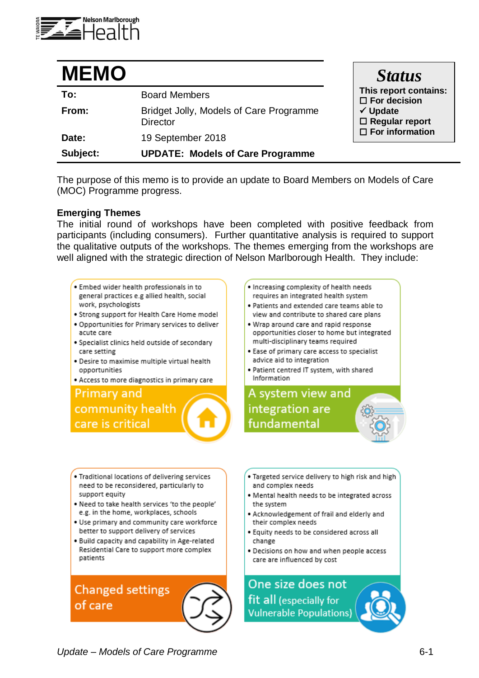

| <b>MEMO</b> |                                                            | <b>Status</b>                                                                                                          |
|-------------|------------------------------------------------------------|------------------------------------------------------------------------------------------------------------------------|
| To:         | <b>Board Members</b>                                       | This report contains:<br>$\Box$ For decision<br>$\checkmark$ Update<br>$\Box$ Regular report<br>$\Box$ For information |
| From:       | Bridget Jolly, Models of Care Programme<br><b>Director</b> |                                                                                                                        |
| Date:       | 19 September 2018                                          |                                                                                                                        |
| Subject:    | <b>UPDATE: Models of Care Programme</b>                    |                                                                                                                        |

The purpose of this memo is to provide an update to Board Members on Models of Care (MOC) Programme progress.

## **Emerging Themes**

The initial round of workshops have been completed with positive feedback from participants (including consumers). Further quantitative analysis is required to support the qualitative outputs of the workshops. The themes emerging from the workshops are well aligned with the strategic direction of Nelson Marlborough Health. They include:

- . Embed wider health professionals in to general practices e.g allied health, social work, psychologists
- . Strong support for Health Care Home model
- . Opportunities for Primary services to deliver acute care
- · Specialist clinics held outside of secondary care setting
- . Desire to maximise multiple virtual health opportunities
- · Access to more diagnostics in primary care

**Primary and** community health care is critical

- . Increasing complexity of health needs requires an integrated health system
- . Patients and extended care teams able to view and contribute to shared care plans
- . Wrap around care and rapid response opportunities closer to home but integrated multi-disciplinary teams required
- . Ease of primary care access to specialist advice aid to integration
- . Patient centred IT system, with shared Information



- . Traditional locations of delivering services need to be reconsidered, particularly to support equity
- . Need to take health services 'to the people' e.g. in the home, workplaces, schools
- . Use primary and community care workforce better to support delivery of services
- . Build capacity and capability in Age-related Residential Care to support more complex patients

**Changed settings** of care

- . Targeted service delivery to high risk and high and complex needs
- . Mental health needs to be integrated across the system
- . Acknowledgement of frail and elderly and their complex needs
- . Equity needs to be considered across all change
- . Decisions on how and when people access care are influenced by cost

One size does not fit all (especially for **Vulnerable Populations)** 

Update - Models of Care Programme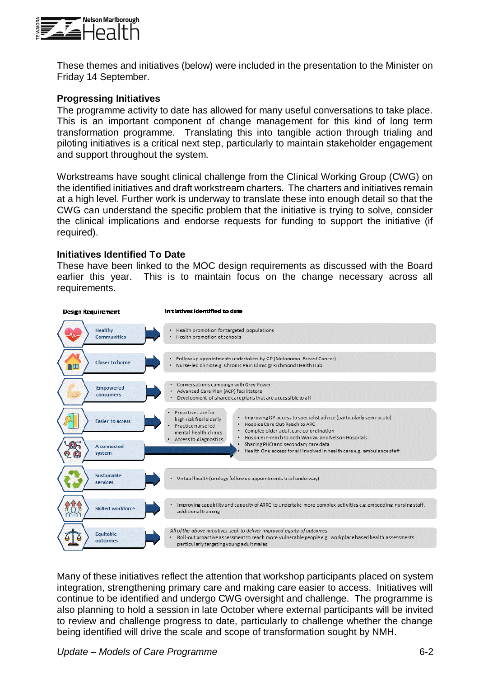

These themes and initiatives (below) were included in the presentation to the Minister on Friday 14 September.

## **Progressing Initiatives**

The programme activity to date has allowed for many useful conversations to take place. This is an important component of change management for this kind of long term transformation programme. Translating this into tangible action through trialing and piloting initiatives is a critical next step, particularly to maintain stakeholder engagement and support throughout the system.

Workstreams have sought clinical challenge from the Clinical Working Group (CWG) on the identified initiatives and draft workstream charters. The charters and initiatives remain at a high level. Further work is underway to translate these into enough detail so that the CWG can understand the specific problem that the initiative is trying to solve, consider the clinical implications and endorse requests for funding to support the initiative (if required).

## **Initiatives Identified To Date**

These have been linked to the MOC design requirements as discussed with the Board earlier this year. This is to maintain focus on the change necessary across all requirements.



Many of these initiatives reflect the attention that workshop participants placed on system integration, strengthening primary care and making care easier to access. Initiatives will continue to be identified and undergo CWG oversight and challenge. The programme is also planning to hold a session in late October where external participants will be invited to review and challenge progress to date, particularly to challenge whether the change being identified will drive the scale and scope of transformation sought by NMH.